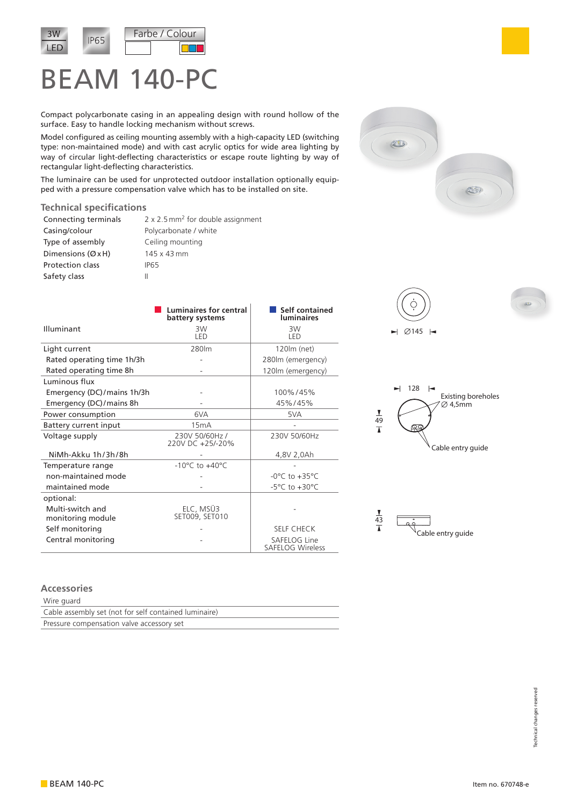

## BEAM 140-PC

Compact polycarbonate casing in an appealing design with round hollow of the surface. Easy to handle locking mechanism without screws.

Model configured as ceiling mounting assembly with a high-capacity LED (switching type: non-maintained mode) and with cast acrylic optics for wide area lighting by way of circular light-deflecting characteristics or escape route lighting by way of rectangular light-deflecting characteristics.

The luminaire can be used for unprotected outdoor installation optionally equipped with a pressure compensation valve which has to be installed on site.

## **Technical specifications**

| Connecting terminals    | $2 \times 2.5$ mm <sup>2</sup> for double assignment |
|-------------------------|------------------------------------------------------|
| Casing/colour           | Polycarbonate / white                                |
| Type of assembly        | Ceiling mounting                                     |
| Dimensions $(ØxH)$      | 145 x 43 mm                                          |
| <b>Protection class</b> | IP65                                                 |
| Safety class            |                                                      |

|                                       | Luminaires for central<br>battery systems | Self contained<br><b>Iuminaires</b>     |
|---------------------------------------|-------------------------------------------|-----------------------------------------|
| Illuminant                            | 3W<br>LED                                 | 3W<br>LED                               |
| Light current                         | 280lm                                     | 120lm (net)                             |
| Rated operating time 1h/3h            |                                           | 280lm (emergency)                       |
| Rated operating time 8h               |                                           | 120lm (emergency)                       |
| <b>Luminous flux</b>                  |                                           |                                         |
| Emergency (DC)/mains 1h/3h            |                                           | 100%/45%                                |
| Emergency (DC)/mains 8h               |                                           | 45%/45%                                 |
| Power consumption                     | 6VA                                       | 5VA                                     |
| Battery current input                 | 15mA                                      |                                         |
| Voltage supply                        | 230V 50/60Hz /<br>220V DC +25/-20%        | 230V 50/60Hz                            |
| NiMh-Akku 1h/3h/8h                    |                                           | 4,8V 2,0Ah                              |
| Temperature range                     | $-10^{\circ}$ C to $+40^{\circ}$ C        |                                         |
| non-maintained mode                   |                                           | $-0^{\circ}$ C to $+35^{\circ}$ C       |
| maintained mode                       |                                           | $-5^{\circ}$ C to $+30^{\circ}$ C       |
| optional:                             |                                           |                                         |
| Multi-switch and<br>monitoring module | ELC, MSÜ3<br>SET009, SET010               |                                         |
| Self monitoring                       |                                           | <b>SELF CHECK</b>                       |
| Central monitoring                    |                                           | SAFELOG Line<br><b>SAFELOG Wireless</b> |











## **Accessories**

Wire guard

| Cable assembly set (not for self contained luminaire) |  |
|-------------------------------------------------------|--|
| Pressure compensation valve accessory set             |  |